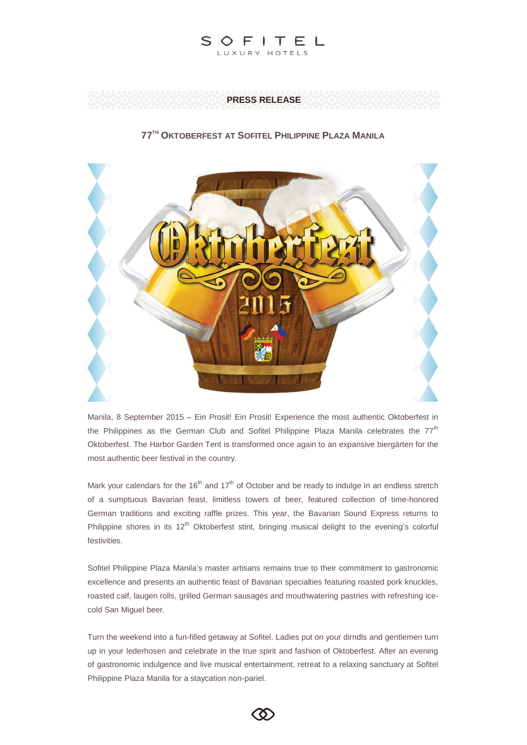

### **PRESS RELEASE**

## **77TH OKTOBERFEST AT SOFITEL PHILIPPINE PLAZA MANILA**



Manila, 8 September 2015 – Ein Prosit! Ein Prosit! Experience the most authentic Oktoberfest in the Philippines as the German Club and Sofitel Philippine Plaza Manila celebrates the  $77<sup>th</sup>$ Oktoberfest. The Harbor Garden Tent is transformed once again to an expansive biergärten for the most authentic beer festival in the country.

Mark your calendars for the 16<sup>th</sup> and 17<sup>th</sup> of October and be ready to indulge in an endless stretch of a sumptuous Bavarian feast, limitless towers of beer, featured collection of time-honored German traditions and exciting raffle prizes. This year, the Bavarian Sound Express returns to Philippine shores in its  $12<sup>th</sup>$  Oktoberfest stint, bringing musical delight to the evening's colorful festivities.

Sofitel Philippine Plaza Manila's master artisans remains true to their commitment to gastronomic excellence and presents an authentic feast of Bavarian specialties featuring roasted pork knuckles, roasted calf, laugen rolls, grilled German sausages and mouthwatering pastries with refreshing icecold San Miguel beer.

Turn the weekend into a fun-filled getaway at Sofitel. Ladies put on your dirndls and gentlemen turn up in your lederhosen and celebrate in the true spirit and fashion of Oktoberfest. After an evening of gastronomic indulgence and live musical entertainment, retreat to a relaxing sanctuary at Sofitel Philippine Plaza Manila for a staycation non-pariel.